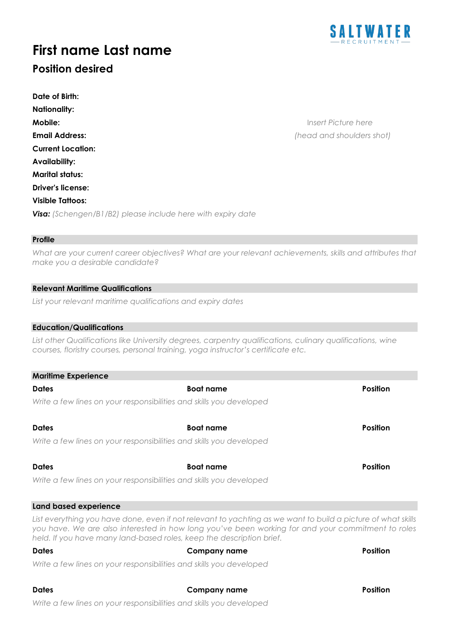

# **First name Last name**

## **Position desired**

**Mobile:** I*nsert Picture here*  **Email Address:** *(head and shoulders shot)*

#### **Profile**

*What are your current career objectives? What are your relevant achievements, skills and attributes that make you a desirable candidate?*

#### **Relevant Maritime Qualifications**

*List your relevant maritime qualifications and expiry dates* 

#### **Education/Qualifications**

**Maritime Experience**

*List other Qualifications like University degrees, carpentry qualifications, culinary qualifications, wine courses, floristry courses, personal training, yoga instructor's certificate etc.* 

| <b>Marifime Experience</b> |                                                                                                              |                 |
|----------------------------|--------------------------------------------------------------------------------------------------------------|-----------------|
| <b>Dates</b>               | <b>Boat name</b>                                                                                             | <b>Position</b> |
|                            | Write a few lines on your responsibilities and skills you developed                                          |                 |
| <b>Dates</b>               | <b>Boat name</b>                                                                                             | <b>Position</b> |
|                            | Write a few lines on your responsibilities and skills you developed                                          |                 |
| <b>Dates</b>               | <b>Boat name</b>                                                                                             | <b>Position</b> |
|                            | Write a few lines on your responsibilities and skills you developed                                          |                 |
| Land based experience      |                                                                                                              |                 |
|                            | List everything you have done, even if not relevant to vachting as we want to build a picture of what skills |                 |

*List everything you have done, even if not relevant to yachting as we want to build a picture of what skills you have. We are also interested in how long you've been working for and your commitment to roles held. If you have many land-based roles, keep the description brief.* 

|  | Write a few lines on your responsibilities and skills you developed |  |
|--|---------------------------------------------------------------------|--|

#### **Dates Company name Position**

**Dates Company name Position** 

*Write a few lines on your responsibilities and skills you developed*